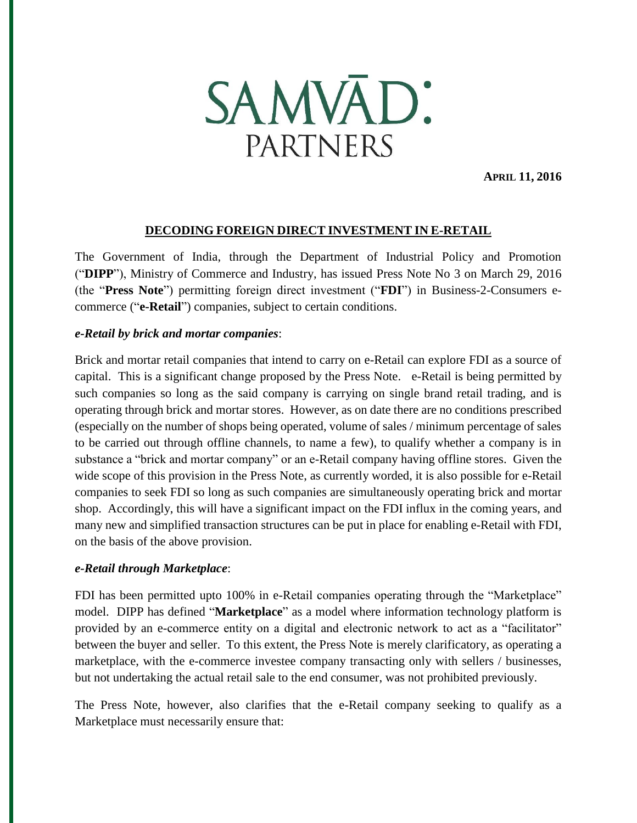

**APRIL 11, 2016**

#### **DECODING FOREIGN DIRECT INVESTMENT IN E-RETAIL**

The Government of India, through the Department of Industrial Policy and Promotion ("**DIPP**"), Ministry of Commerce and Industry, has issued Press Note No 3 on March 29, 2016 (the "**Press Note**") permitting foreign direct investment ("**FDI**") in Business-2-Consumers ecommerce ("**e-Retail**") companies, subject to certain conditions.

#### *e-Retail by brick and mortar companies*:

Brick and mortar retail companies that intend to carry on e-Retail can explore FDI as a source of capital. This is a significant change proposed by the Press Note. e-Retail is being permitted by such companies so long as the said company is carrying on single brand retail trading, and is operating through brick and mortar stores. However, as on date there are no conditions prescribed (especially on the number of shops being operated, volume of sales / minimum percentage of sales to be carried out through offline channels, to name a few), to qualify whether a company is in substance a "brick and mortar company" or an e-Retail company having offline stores. Given the wide scope of this provision in the Press Note, as currently worded, it is also possible for e-Retail companies to seek FDI so long as such companies are simultaneously operating brick and mortar shop. Accordingly, this will have a significant impact on the FDI influx in the coming years, and many new and simplified transaction structures can be put in place for enabling e-Retail with FDI, on the basis of the above provision.

#### *e-Retail through Marketplace*:

FDI has been permitted upto 100% in e-Retail companies operating through the "Marketplace" model. DIPP has defined "**Marketplace**" as a model where information technology platform is provided by an e-commerce entity on a digital and electronic network to act as a "facilitator" between the buyer and seller. To this extent, the Press Note is merely clarificatory, as operating a marketplace, with the e-commerce investee company transacting only with sellers / businesses, but not undertaking the actual retail sale to the end consumer, was not prohibited previously.

The Press Note, however, also clarifies that the e-Retail company seeking to qualify as a Marketplace must necessarily ensure that: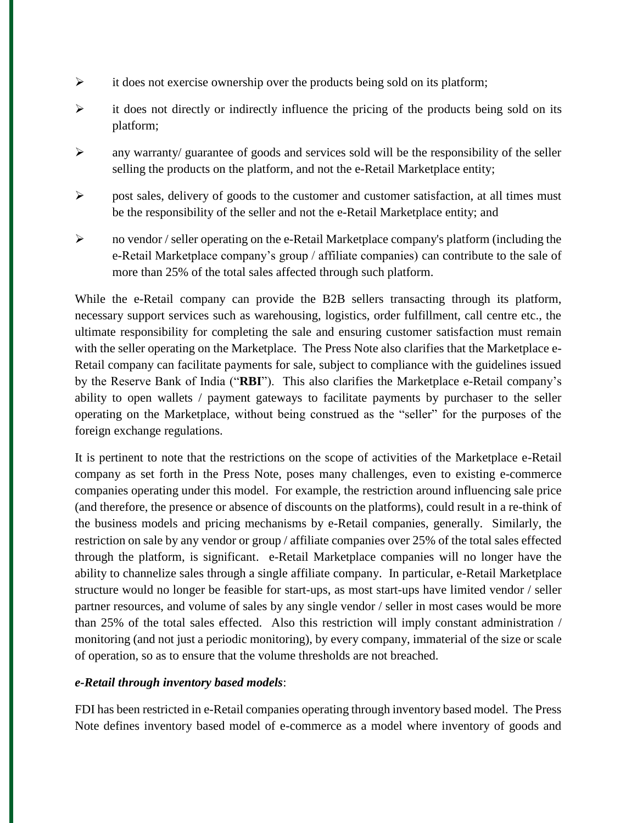- $\triangleright$  it does not exercise ownership over the products being sold on its platform;
- $\triangleright$  it does not directly or indirectly influence the pricing of the products being sold on its platform;
- $\triangleright$  any warranty/ guarantee of goods and services sold will be the responsibility of the seller selling the products on the platform, and not the e-Retail Marketplace entity;
- $\triangleright$  post sales, delivery of goods to the customer and customer satisfaction, at all times must be the responsibility of the seller and not the e-Retail Marketplace entity; and
- $\triangleright$  no vendor / seller operating on the e-Retail Marketplace company's platform (including the e-Retail Marketplace company's group / affiliate companies) can contribute to the sale of more than 25% of the total sales affected through such platform.

While the e-Retail company can provide the B2B sellers transacting through its platform, necessary support services such as warehousing, logistics, order fulfillment, call centre etc., the ultimate responsibility for completing the sale and ensuring customer satisfaction must remain with the seller operating on the Marketplace. The Press Note also clarifies that the Marketplace e-Retail company can facilitate payments for sale, subject to compliance with the guidelines issued by the Reserve Bank of India ("**RBI**"). This also clarifies the Marketplace e-Retail company's ability to open wallets / payment gateways to facilitate payments by purchaser to the seller operating on the Marketplace, without being construed as the "seller" for the purposes of the foreign exchange regulations.

It is pertinent to note that the restrictions on the scope of activities of the Marketplace e-Retail company as set forth in the Press Note, poses many challenges, even to existing e-commerce companies operating under this model. For example, the restriction around influencing sale price (and therefore, the presence or absence of discounts on the platforms), could result in a re-think of the business models and pricing mechanisms by e-Retail companies, generally. Similarly, the restriction on sale by any vendor or group / affiliate companies over 25% of the total sales effected through the platform, is significant. e-Retail Marketplace companies will no longer have the ability to channelize sales through a single affiliate company. In particular, e-Retail Marketplace structure would no longer be feasible for start-ups, as most start-ups have limited vendor / seller partner resources, and volume of sales by any single vendor / seller in most cases would be more than 25% of the total sales effected. Also this restriction will imply constant administration / monitoring (and not just a periodic monitoring), by every company, immaterial of the size or scale of operation, so as to ensure that the volume thresholds are not breached.

## *e-Retail through inventory based models*:

FDI has been restricted in e-Retail companies operating through inventory based model. The Press Note defines inventory based model of e-commerce as a model where inventory of goods and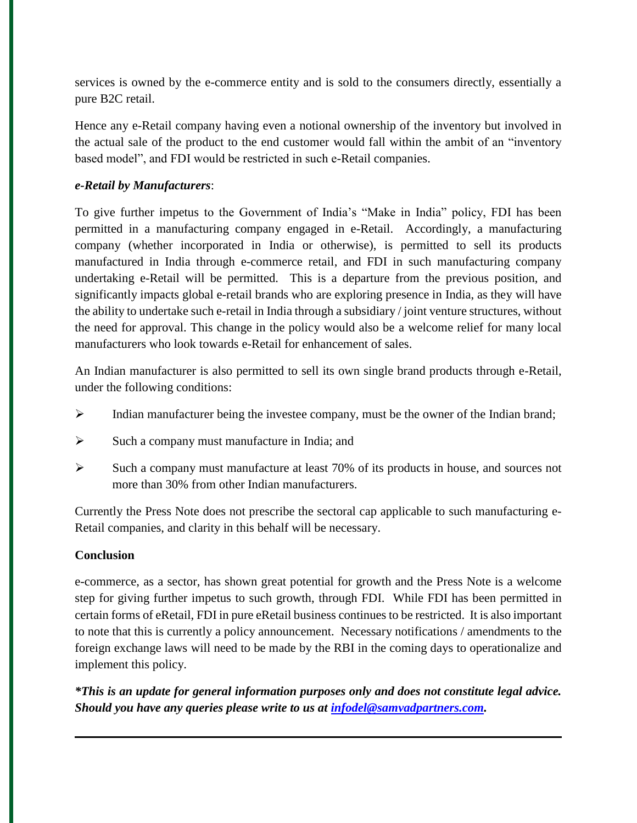services is owned by the e-commerce entity and is sold to the consumers directly, essentially a pure B2C retail.

Hence any e-Retail company having even a notional ownership of the inventory but involved in the actual sale of the product to the end customer would fall within the ambit of an "inventory based model", and FDI would be restricted in such e-Retail companies.

# *e-Retail by Manufacturers*:

To give further impetus to the Government of India's "Make in India" policy, FDI has been permitted in a manufacturing company engaged in e-Retail. Accordingly, a manufacturing company (whether incorporated in India or otherwise), is permitted to sell its products manufactured in India through e-commerce retail, and FDI in such manufacturing company undertaking e-Retail will be permitted. This is a departure from the previous position, and significantly impacts global e-retail brands who are exploring presence in India, as they will have the ability to undertake such e-retail in India through a subsidiary / joint venture structures, without the need for approval. This change in the policy would also be a welcome relief for many local manufacturers who look towards e-Retail for enhancement of sales.

An Indian manufacturer is also permitted to sell its own single brand products through e-Retail, under the following conditions:

- $\triangleright$  Indian manufacturer being the investee company, must be the owner of the Indian brand;
- $\triangleright$  Such a company must manufacture in India; and
- $\triangleright$  Such a company must manufacture at least 70% of its products in house, and sources not more than 30% from other Indian manufacturers.

Currently the Press Note does not prescribe the sectoral cap applicable to such manufacturing e-Retail companies, and clarity in this behalf will be necessary.

## **Conclusion**

e-commerce, as a sector, has shown great potential for growth and the Press Note is a welcome step for giving further impetus to such growth, through FDI. While FDI has been permitted in certain forms of eRetail, FDI in pure eRetail business continues to be restricted. It is also important to note that this is currently a policy announcement. Necessary notifications / amendments to the foreign exchange laws will need to be made by the RBI in the coming days to operationalize and implement this policy.

*\*This is an update for general information purposes only and does not constitute legal advice. Should you have any queries please write to us at [infodel@samvadpartners.com.](mailto:infodel@samvadpartners.com)*